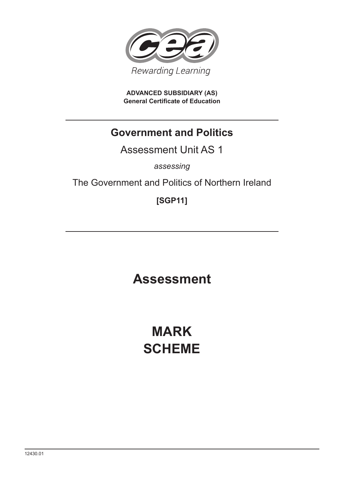

**ADVANCED SUBSIDIARY (AS) General Certificate of Education**

# **Government and Politics**

Assessment Unit AS 1

*assessing*

The Government and Politics of Northern Ireland

**[SGP11]**

**Assessment**

**MARK SCHEME**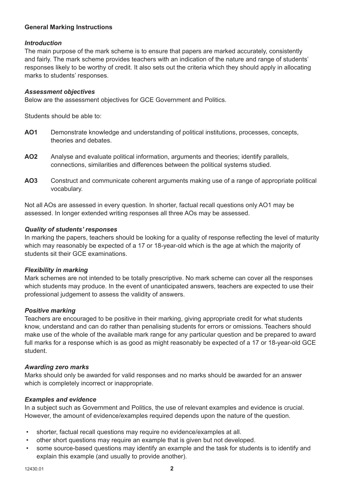# **General Marking Instructions**

## *Introduction*

The main purpose of the mark scheme is to ensure that papers are marked accurately, consistently and fairly. The mark scheme provides teachers with an indication of the nature and range of students' responses likely to be worthy of credit. It also sets out the criteria which they should apply in allocating marks to students' responses.

#### *Assessment objectives*

Below are the assessment objectives for GCE Government and Politics.

Students should be able to:

- **AO1** Demonstrate knowledge and understanding of political institutions, processes, concepts, theories and debates.
- **AO2** Analyse and evaluate political information, arguments and theories; identify parallels, connections, similarities and differences between the political systems studied.
- **AO3** Construct and communicate coherent arguments making use of a range of appropriate political vocabulary.

Not all AOs are assessed in every question. In shorter, factual recall questions only AO1 may be assessed. In longer extended writing responses all three AOs may be assessed.

## *Quality of students' responses*

In marking the papers, teachers should be looking for a quality of response reflecting the level of maturity which may reasonably be expected of a 17 or 18-year-old which is the age at which the majority of students sit their GCE examinations.

## *Flexibility in marking*

Mark schemes are not intended to be totally prescriptive. No mark scheme can cover all the responses which students may produce. In the event of unanticipated answers, teachers are expected to use their professional judgement to assess the validity of answers.

#### *Positive marking*

Teachers are encouraged to be positive in their marking, giving appropriate credit for what students know, understand and can do rather than penalising students for errors or omissions. Teachers should make use of the whole of the available mark range for any particular question and be prepared to award full marks for a response which is as good as might reasonably be expected of a 17 or 18-year-old GCE student.

## *Awarding zero marks*

Marks should only be awarded for valid responses and no marks should be awarded for an answer which is completely incorrect or inappropriate.

## *Examples and evidence*

In a subject such as Government and Politics, the use of relevant examples and evidence is crucial. However, the amount of evidence/examples required depends upon the nature of the question.

- shorter, factual recall questions may require no evidence/examples at all.
- other short questions may require an example that is given but not developed.
- some source-based questions may identify an example and the task for students is to identify and explain this example (and usually to provide another).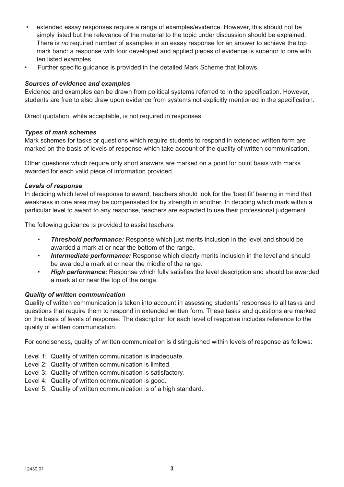- extended essay responses require a range of examples/evidence. However, this should not be simply listed but the relevance of the material to the topic under discussion should be explained. There is *no* required number of examples in an essay response for an answer to achieve the top mark band: a response with four developed and applied pieces of evidence is superior to one with ten listed examples.
- Further specific guidance is provided in the detailed Mark Scheme that follows.

## *Sources of evidence and examples*

Evidence and examples can be drawn from political systems referred to in the specification. However, students are free to also draw upon evidence from systems not explicitly mentioned in the specification.

Direct quotation, while acceptable, is not required in responses.

## *Types of mark schemes*

Mark schemes for tasks or questions which require students to respond in extended written form are marked on the basis of levels of response which take account of the quality of written communication.

Other questions which require only short answers are marked on a point for point basis with marks awarded for each valid piece of information provided.

## *Levels of response*

In deciding which level of response to award, teachers should look for the 'best fit' bearing in mind that weakness in one area may be compensated for by strength in another. In deciding which mark within a particular level to award to any response, teachers are expected to use their professional judgement.

The following guidance is provided to assist teachers.

- *Threshold performance:* Response which just merits inclusion in the level and should be awarded a mark at or near the bottom of the range.
- *Intermediate performance:* Response which clearly merits inclusion in the level and should be awarded a mark at or near the middle of the range.
- *High performance:* Response which fully satisfies the level description and should be awarded a mark at or near the top of the range.

# *Quality of written communication*

Quality of written communication is taken into account in assessing students' responses to all tasks and questions that require them to respond in extended written form. These tasks and questions are marked on the basis of levels of response. The description for each level of response includes reference to the quality of written communication.

For conciseness, quality of written communication is distinguished within levels of response as follows:

- Level 1: Quality of written communication is inadequate.
- Level 2: Quality of written communication is limited.
- Level 3: Quality of written communication is satisfactory.
- Level 4: Quality of written communication is good.
- Level 5: Quality of written communication is of a high standard.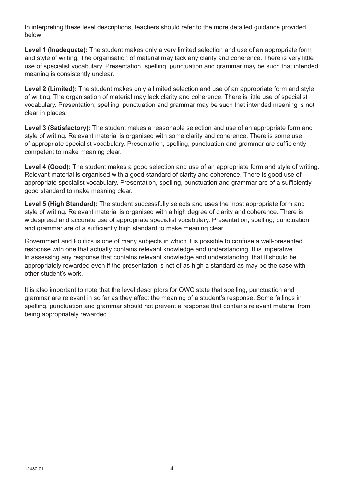In interpreting these level descriptions, teachers should refer to the more detailed guidance provided below:

**Level 1 (Inadequate):** The student makes only a very limited selection and use of an appropriate form and style of writing. The organisation of material may lack any clarity and coherence. There is very little use of specialist vocabulary. Presentation, spelling, punctuation and grammar may be such that intended meaning is consistently unclear.

**Level 2 (Limited):** The student makes only a limited selection and use of an appropriate form and style of writing. The organisation of material may lack clarity and coherence. There is little use of specialist vocabulary. Presentation, spelling, punctuation and grammar may be such that intended meaning is not clear in places.

**Level 3 (Satisfactory):** The student makes a reasonable selection and use of an appropriate form and style of writing. Relevant material is organised with some clarity and coherence. There is some use of appropriate specialist vocabulary. Presentation, spelling, punctuation and grammar are sufficiently competent to make meaning clear.

**Level 4 (Good):** The student makes a good selection and use of an appropriate form and style of writing. Relevant material is organised with a good standard of clarity and coherence. There is good use of appropriate specialist vocabulary. Presentation, spelling, punctuation and grammar are of a sufficiently good standard to make meaning clear.

**Level 5 (High Standard):** The student successfully selects and uses the most appropriate form and style of writing. Relevant material is organised with a high degree of clarity and coherence. There is widespread and accurate use of appropriate specialist vocabulary. Presentation, spelling, punctuation and grammar are of a sufficiently high standard to make meaning clear.

Government and Politics is one of many subjects in which it is possible to confuse a well-presented response with one that actually contains relevant knowledge and understanding. It is imperative in assessing any response that contains relevant knowledge and understanding, that it should be appropriately rewarded even if the presentation is not of as high a standard as may be the case with other student's work.

It is also important to note that the level descriptors for QWC state that spelling, punctuation and grammar are relevant in so far as they affect the meaning of a student's response. Some failings in spelling, punctuation and grammar should not prevent a response that contains relevant material from being appropriately rewarded.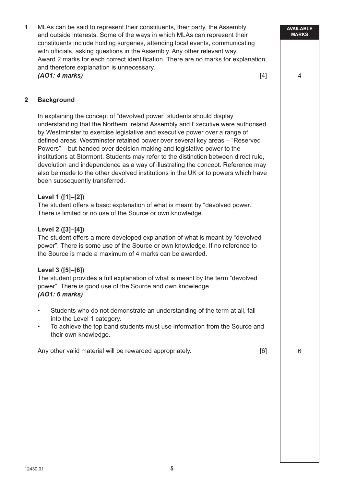**1** MLAs can be said to represent their constituents, their party, the Assembly and outside interests. Some of the ways in which MLAs can represent their constituents include holding surgeries, attending local events, communicating with officials, asking questions in the Assembly. Any other relevant way. Award 2 marks for each correct identification. There are no marks for explanation and therefore explanation is unnecessary. *(AO1: 4 marks)* [4]

**AVAILABLE MARKS**

4

## **2 Background**

In explaining the concept of "devolved power" students should display understanding that the Northern Ireland Assembly and Executive were authorised by Westminster to exercise legislative and executive power over a range of defined areas. Westminster retained power over several key areas – "Reserved Powers" – but handed over decision-making and legislative power to the institutions at Stormont. Students may refer to the distinction between direct rule, devolution and independence as a way of illustrating the concept. Reference may also be made to the other devolved institutions in the UK or to powers which have been subsequently transferred.

## **Level 1 ([1]–[2])**

The student offers a basic explanation of what is meant by "devolved power.' There is limited or no use of the Source or own knowledge.

## **Level 2 ([3]–[4])**

The student offers a more developed explanation of what is meant by "devolved power". There is some use of the Source or own knowledge. If no reference to the Source is made a maximum of 4 marks can be awarded.

## **Level 3 ([5]–[6])**

The student provides a full explanation of what is meant by the term "devolved power". There is good use of the Source and own knowledge. *(AO1: 6 marks)*

- Students who do not demonstrate an understanding of the term at all, fall into the Level 1 category.
- To achieve the top band students must use information from the Source and their own knowledge.

Any other valid material will be rewarded appropriately. The matter of  $[6]$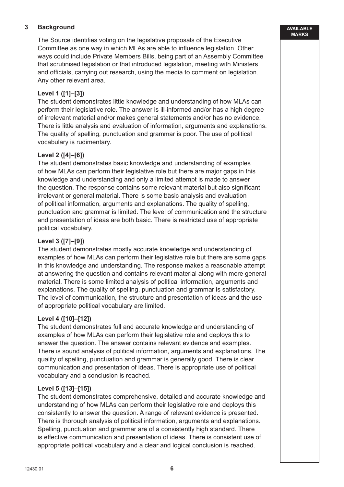# **3 Background**

The Source identifies voting on the legislative proposals of the Executive Committee as one way in which MLAs are able to influence legislation. Other ways could include Private Members Bills, being part of an Assembly Committee that scrutinised legislation or that introduced legislation, meeting with Ministers and officials, carrying out research, using the media to comment on legislation. Any other relevant area.

# **Level 1 ([1]–[3])**

The student demonstrates little knowledge and understanding of how MLAs can perform their legislative role. The answer is ill-informed and/or has a high degree of irrelevant material and/or makes general statements and/or has no evidence. There is little analysis and evaluation of information, arguments and explanations. The quality of spelling, punctuation and grammar is poor. The use of political vocabulary is rudimentary.

# **Level 2 ([4]–[6])**

The student demonstrates basic knowledge and understanding of examples of how MLAs can perform their legislative role but there are major gaps in this knowledge and understanding and only a limited attempt is made to answer the question. The response contains some relevant material but also significant irrelevant or general material. There is some basic analysis and evaluation of political information, arguments and explanations. The quality of spelling, punctuation and grammar is limited. The level of communication and the structure and presentation of ideas are both basic. There is restricted use of appropriate political vocabulary.

# **Level 3 ([7]–[9])**

The student demonstrates mostly accurate knowledge and understanding of examples of how MLAs can perform their legislative role but there are some gaps in this knowledge and understanding. The response makes a reasonable attempt at answering the question and contains relevant material along with more general material. There is some limited analysis of political information, arguments and explanations. The quality of spelling, punctuation and grammar is satisfactory. The level of communication, the structure and presentation of ideas and the use of appropriate political vocabulary are limited.

# **Level 4 ([10]–[12])**

The student demonstrates full and accurate knowledge and understanding of examples of how MLAs can perform their legislative role and deploys this to answer the question. The answer contains relevant evidence and examples. There is sound analysis of political information, arguments and explanations. The quality of spelling, punctuation and grammar is generally good. There is clear communication and presentation of ideas. There is appropriate use of political vocabulary and a conclusion is reached.

# **Level 5 ([13]–[15])**

The student demonstrates comprehensive, detailed and accurate knowledge and understanding of how MLAs can perform their legislative role and deploys this consistently to answer the question. A range of relevant evidence is presented. There is thorough analysis of political information, arguments and explanations. Spelling, punctuation and grammar are of a consistently high standard. There is effective communication and presentation of ideas. There is consistent use of appropriate political vocabulary and a clear and logical conclusion is reached.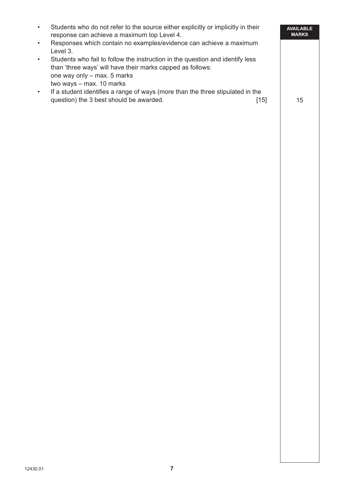|           | Students who do not refer to the source either explicitly or implicitly in their<br>response can achieve a maximum top Level 4.                                                                        |      | <b>AVAILABLE</b><br><b>MARKS</b> |
|-----------|--------------------------------------------------------------------------------------------------------------------------------------------------------------------------------------------------------|------|----------------------------------|
| $\bullet$ | Responses which contain no examples/evidence can achieve a maximum<br>Level 3.                                                                                                                         |      |                                  |
|           | Students who fail to follow the instruction in the question and identify less<br>than 'three ways' will have their marks capped as follows:<br>one way only – max. 5 marks<br>two ways - max. 10 marks |      |                                  |
|           | If a student identifies a range of ways (more than the three stipulated in the<br>question) the 3 best should be awarded.                                                                              | [15] | 15                               |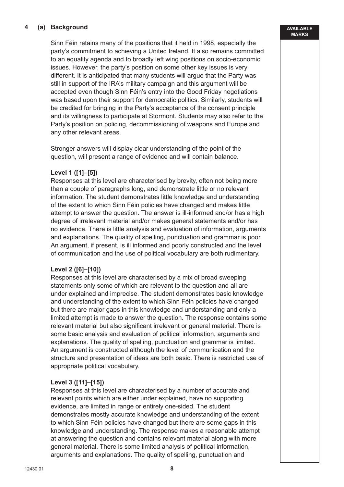## **4 (a) Background**

Sinn Féin retains many of the positions that it held in 1998, especially the party's commitment to achieving a United Ireland. It also remains committed to an equality agenda and to broadly left wing positions on socio-economic issues. However, the party's position on some other key issues is very different. It is anticipated that many students will argue that the Party was still in support of the IRA's military campaign and this argument will be accepted even though Sinn Féin's entry into the Good Friday negotiations was based upon their support for democratic politics. Similarly, students will be credited for bringing in the Party's acceptance of the consent principle and its willingness to participate at Stormont. Students may also refer to the Party's position on policing, decommissioning of weapons and Europe and any other relevant areas.

Stronger answers will display clear understanding of the point of the question, will present a range of evidence and will contain balance.

## **Level 1 ([1]–[5])**

Responses at this level are characterised by brevity, often not being more than a couple of paragraphs long, and demonstrate little or no relevant information. The student demonstrates little knowledge and understanding of the extent to which Sinn Féin policies have changed and makes little attempt to answer the question. The answer is ill-informed and/or has a high degree of irrelevant material and/or makes general statements and/or has no evidence. There is little analysis and evaluation of information, arguments and explanations. The quality of spelling, punctuation and grammar is poor. An argument, if present, is ill informed and poorly constructed and the level of communication and the use of political vocabulary are both rudimentary.

## **Level 2 ([6]–[10])**

Responses at this level are characterised by a mix of broad sweeping statements only some of which are relevant to the question and all are under explained and imprecise. The student demonstrates basic knowledge and understanding of the extent to which Sinn Féin policies have changed but there are major gaps in this knowledge and understanding and only a limited attempt is made to answer the question. The response contains some relevant material but also significant irrelevant or general material. There is some basic analysis and evaluation of political information, arguments and explanations. The quality of spelling, punctuation and grammar is limited. An argument is constructed although the level of communication and the structure and presentation of ideas are both basic. There is restricted use of appropriate political vocabulary.

## **Level 3 ([11]–[15])**

Responses at this level are characterised by a number of accurate and relevant points which are either under explained, have no supporting evidence, are limited in range or entirely one-sided. The student demonstrates mostly accurate knowledge and understanding of the extent to which Sinn Féin policies have changed but there are some gaps in this knowledge and understanding. The response makes a reasonable attempt at answering the question and contains relevant material along with more general material. There is some limited analysis of political information, arguments and explanations. The quality of spelling, punctuation and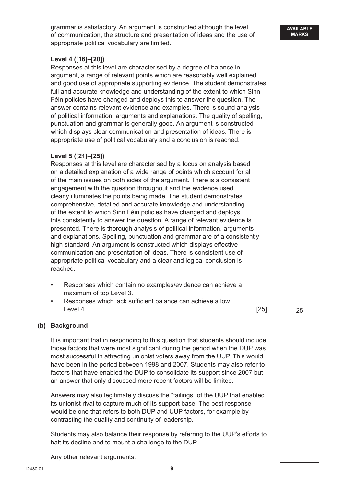grammar is satisfactory. An argument is constructed although the level of communication, the structure and presentation of ideas and the use of appropriate political vocabulary are limited.

## **Level 4 ([16]–[20])**

Responses at this level are characterised by a degree of balance in argument, a range of relevant points which are reasonably well explained and good use of appropriate supporting evidence. The student demonstrates full and accurate knowledge and understanding of the extent to which Sinn Féin policies have changed and deploys this to answer the question. The answer contains relevant evidence and examples. There is sound analysis of political information, arguments and explanations. The quality of spelling, punctuation and grammar is generally good. An argument is constructed which displays clear communication and presentation of ideas. There is appropriate use of political vocabulary and a conclusion is reached.

## **Level 5 ([21]–[25])**

Responses at this level are characterised by a focus on analysis based on a detailed explanation of a wide range of points which account for all of the main issues on both sides of the argument. There is a consistent engagement with the question throughout and the evidence used clearly illuminates the points being made. The student demonstrates comprehensive, detailed and accurate knowledge and understanding of the extent to which Sinn Féin policies have changed and deploys this consistently to answer the question. A range of relevant evidence is presented. There is thorough analysis of political information, arguments and explanations. Spelling, punctuation and grammar are of a consistently high standard. An argument is constructed which displays effective communication and presentation of ideas. There is consistent use of appropriate political vocabulary and a clear and logical conclusion is reached.

- Responses which contain no examples/evidence can achieve a maximum of top Level 3.
- Responses which lack sufficient balance can achieve a low  $\qquad \qquad \text{Level 4.} \qquad \qquad \text{[25]}$

## **(b) Background**

It is important that in responding to this question that students should include those factors that were most significant during the period when the DUP was most successful in attracting unionist voters away from the UUP. This would have been in the period between 1998 and 2007. Students may also refer to factors that have enabled the DUP to consolidate its support since 2007 but an answer that only discussed more recent factors will be limited.

Answers may also legitimately discuss the "failings" of the UUP that enabled its unionist rival to capture much of its support base. The best response would be one that refers to both DUP and UUP factors, for example by contrasting the quality and continuity of leadership.

Students may also balance their response by referring to the UUP's efforts to halt its decline and to mount a challenge to the DUP.

Any other relevant arguments.

25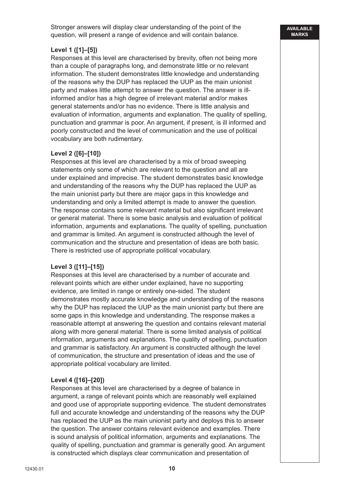Stronger answers will display clear understanding of the point of the question, will present a range of evidence and will contain balance.

# **Level 1 ([1]–[5])**

Responses at this level are characterised by brevity, often not being more than a couple of paragraphs long, and demonstrate little or no relevant information. The student demonstrates little knowledge and understanding of the reasons why the DUP has replaced the UUP as the main unionist party and makes little attempt to answer the question. The answer is illinformed and/or has a high degree of irrelevant material and/or makes general statements and/or has no evidence. There is little analysis and evaluation of information, arguments and explanation. The quality of spelling, punctuation and grammar is poor. An argument, if present, is ill informed and poorly constructed and the level of communication and the use of political vocabulary are both rudimentary.

## **Level 2 ([6]–[10])**

Responses at this level are characterised by a mix of broad sweeping statements only some of which are relevant to the question and all are under explained and imprecise. The student demonstrates basic knowledge and understanding of the reasons why the DUP has replaced the UUP as the main unionist party but there are major gaps in this knowledge and understanding and only a limited attempt is made to answer the question. The response contains some relevant material but also significant irrelevant or general material. There is some basic analysis and evaluation of political information, arguments and explanations. The quality of spelling, punctuation and grammar is limited. An argument is constructed although the level of communication and the structure and presentation of ideas are both basic. There is restricted use of appropriate political vocabulary.

# **Level 3 ([11]–[15])**

Responses at this level are characterised by a number of accurate and relevant points which are either under explained, have no supporting evidence, are limited in range or entirely one-sided. The student demonstrates mostly accurate knowledge and understanding of the reasons why the DUP has replaced the UUP as the main unionist party but there are some gaps in this knowledge and understanding. The response makes a reasonable attempt at answering the question and contains relevant material along with more general material. There is some limited analysis of political information, arguments and explanations. The quality of spelling, punctuation and grammar is satisfactory. An argument is constructed although the level of communication, the structure and presentation of ideas and the use of appropriate political vocabulary are limited.

## **Level 4 ([16]–[20])**

Responses at this level are characterised by a degree of balance in argument, a range of relevant points which are reasonably well explained and good use of appropriate supporting evidence. The student demonstrates full and accurate knowledge and understanding of the reasons why the DUP has replaced the UUP as the main unionist party and deploys this to answer the question. The answer contains relevant evidence and examples. There is sound analysis of political information, arguments and explanations. The quality of spelling, punctuation and grammar is generally good. An argument is constructed which displays clear communication and presentation of